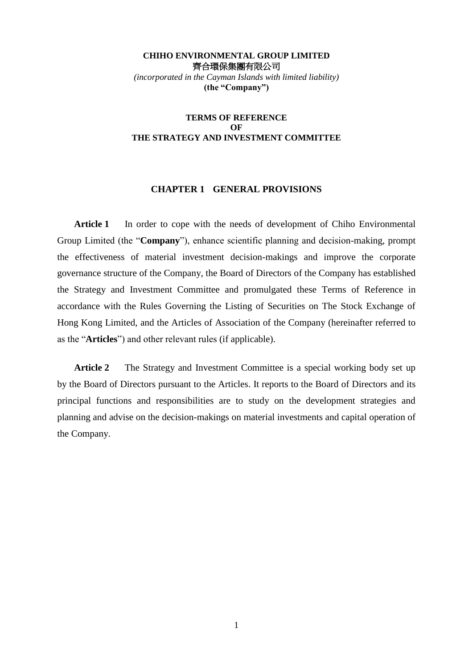## **CHIHO ENVIRONMENTAL GROUP LIMITED**  齊合環保集團有限公司 *(incorporated in the Cayman Islands with limited liability)* **(the "Company")**

## **TERMS OF REFERENCE OF THE STRATEGY AND INVESTMENT COMMITTEE**

## **CHAPTER 1 GENERAL PROVISIONS**

Article 1 In order to cope with the needs of development of Chiho Environmental Group Limited (the "**Company**"), enhance scientific planning and decision-making, prompt the effectiveness of material investment decision-makings and improve the corporate governance structure of the Company, the Board of Directors of the Company has established the Strategy and Investment Committee and promulgated these Terms of Reference in accordance with the Rules Governing the Listing of Securities on The Stock Exchange of Hong Kong Limited, and the Articles of Association of the Company (hereinafter referred to as the "**Articles**") and other relevant rules (if applicable).

**Article 2** The Strategy and Investment Committee is a special working body set up by the Board of Directors pursuant to the Articles. It reports to the Board of Directors and its principal functions and responsibilities are to study on the development strategies and planning and advise on the decision-makings on material investments and capital operation of the Company.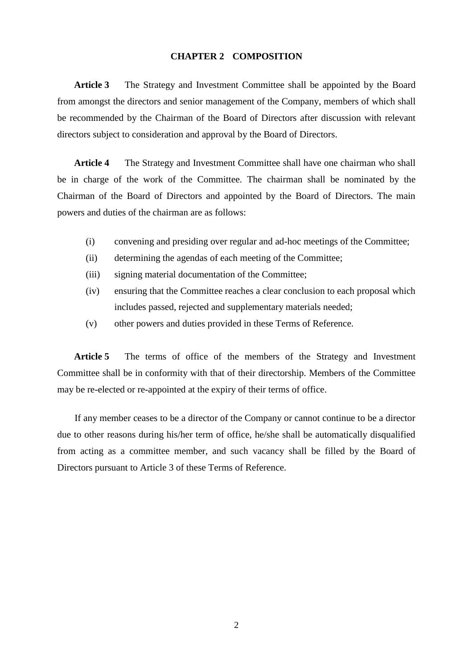# **CHAPTER 2 COMPOSITION**

**Article 3** The Strategy and Investment Committee shall be appointed by the Board from amongst the directors and senior management of the Company, members of which shall be recommended by the Chairman of the Board of Directors after discussion with relevant directors subject to consideration and approval by the Board of Directors.

**Article 4** The Strategy and Investment Committee shall have one chairman who shall be in charge of the work of the Committee. The chairman shall be nominated by the Chairman of the Board of Directors and appointed by the Board of Directors. The main powers and duties of the chairman are as follows:

- (i) convening and presiding over regular and ad-hoc meetings of the Committee;
- (ii) determining the agendas of each meeting of the Committee;
- (iii) signing material documentation of the Committee;
- (iv) ensuring that the Committee reaches a clear conclusion to each proposal which includes passed, rejected and supplementary materials needed;
- (v) other powers and duties provided in these Terms of Reference.

Article 5 The terms of office of the members of the Strategy and Investment Committee shall be in conformity with that of their directorship. Members of the Committee may be re-elected or re-appointed at the expiry of their terms of office.

If any member ceases to be a director of the Company or cannot continue to be a director due to other reasons during his/her term of office, he/she shall be automatically disqualified from acting as a committee member, and such vacancy shall be filled by the Board of Directors pursuant to Article 3 of these Terms of Reference.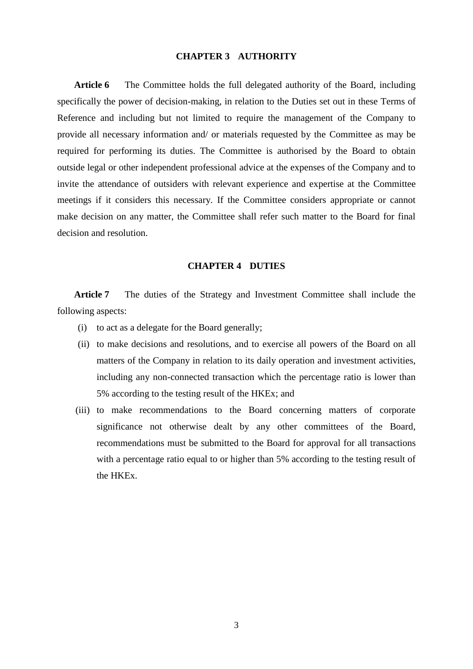# **CHAPTER 3 AUTHORITY**

**Article 6** The Committee holds the full delegated authority of the Board, including specifically the power of decision-making, in relation to the Duties set out in these Terms of Reference and including but not limited to require the management of the Company to provide all necessary information and/ or materials requested by the Committee as may be required for performing its duties. The Committee is authorised by the Board to obtain outside legal or other independent professional advice at the expenses of the Company and to invite the attendance of outsiders with relevant experience and expertise at the Committee meetings if it considers this necessary. If the Committee considers appropriate or cannot make decision on any matter, the Committee shall refer such matter to the Board for final decision and resolution.

#### **CHAPTER 4 DUTIES**

**Article 7** The duties of the Strategy and Investment Committee shall include the following aspects:

- (i) to act as a delegate for the Board generally;
- (ii) to make decisions and resolutions, and to exercise all powers of the Board on all matters of the Company in relation to its daily operation and investment activities, including any non-connected transaction which the percentage ratio is lower than 5% according to the testing result of the HKEx; and
- (iii) to make recommendations to the Board concerning matters of corporate significance not otherwise dealt by any other committees of the Board, recommendations must be submitted to the Board for approval for all transactions with a percentage ratio equal to or higher than 5% according to the testing result of the HKEx.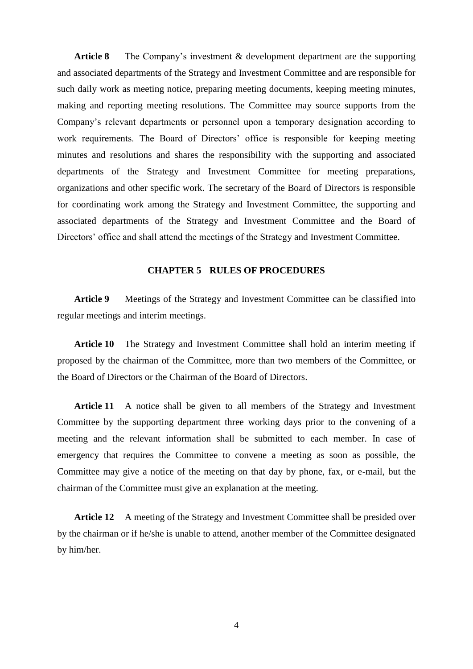Article 8 The Company's investment & development department are the supporting and associated departments of the Strategy and Investment Committee and are responsible for such daily work as meeting notice, preparing meeting documents, keeping meeting minutes, making and reporting meeting resolutions. The Committee may source supports from the Company's relevant departments or personnel upon a temporary designation according to work requirements. The Board of Directors' office is responsible for keeping meeting minutes and resolutions and shares the responsibility with the supporting and associated departments of the Strategy and Investment Committee for meeting preparations, organizations and other specific work. The secretary of the Board of Directors is responsible for coordinating work among the Strategy and Investment Committee, the supporting and associated departments of the Strategy and Investment Committee and the Board of Directors' office and shall attend the meetings of the Strategy and Investment Committee.

## **CHAPTER 5 RULES OF PROCEDURES**

**Article 9** Meetings of the Strategy and Investment Committee can be classified into regular meetings and interim meetings.

**Article 10** The Strategy and Investment Committee shall hold an interim meeting if proposed by the chairman of the Committee, more than two members of the Committee, or the Board of Directors or the Chairman of the Board of Directors.

**Article 11** A notice shall be given to all members of the Strategy and Investment Committee by the supporting department three working days prior to the convening of a meeting and the relevant information shall be submitted to each member. In case of emergency that requires the Committee to convene a meeting as soon as possible, the Committee may give a notice of the meeting on that day by phone, fax, or e-mail, but the chairman of the Committee must give an explanation at the meeting.

**Article 12** A meeting of the Strategy and Investment Committee shall be presided over by the chairman or if he/she is unable to attend, another member of the Committee designated by him/her.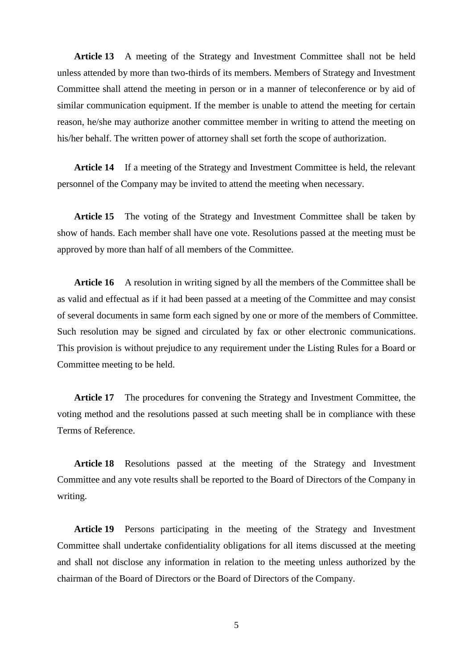**Article 13** A meeting of the Strategy and Investment Committee shall not be held unless attended by more than two-thirds of its members. Members of Strategy and Investment Committee shall attend the meeting in person or in a manner of teleconference or by aid of similar communication equipment. If the member is unable to attend the meeting for certain reason, he/she may authorize another committee member in writing to attend the meeting on his/her behalf. The written power of attorney shall set forth the scope of authorization.

**Article 14** If a meeting of the Strategy and Investment Committee is held, the relevant personnel of the Company may be invited to attend the meeting when necessary.

**Article 15** The voting of the Strategy and Investment Committee shall be taken by show of hands. Each member shall have one vote. Resolutions passed at the meeting must be approved by more than half of all members of the Committee.

Article 16 A resolution in writing signed by all the members of the Committee shall be as valid and effectual as if it had been passed at a meeting of the Committee and may consist of several documents in same form each signed by one or more of the members of Committee. Such resolution may be signed and circulated by fax or other electronic communications. This provision is without prejudice to any requirement under the Listing Rules for a Board or Committee meeting to be held.

**Article 17** The procedures for convening the Strategy and Investment Committee, the voting method and the resolutions passed at such meeting shall be in compliance with these Terms of Reference.

**Article 18** Resolutions passed at the meeting of the Strategy and Investment Committee and any vote results shall be reported to the Board of Directors of the Company in writing.

**Article 19** Persons participating in the meeting of the Strategy and Investment Committee shall undertake confidentiality obligations for all items discussed at the meeting and shall not disclose any information in relation to the meeting unless authorized by the chairman of the Board of Directors or the Board of Directors of the Company.